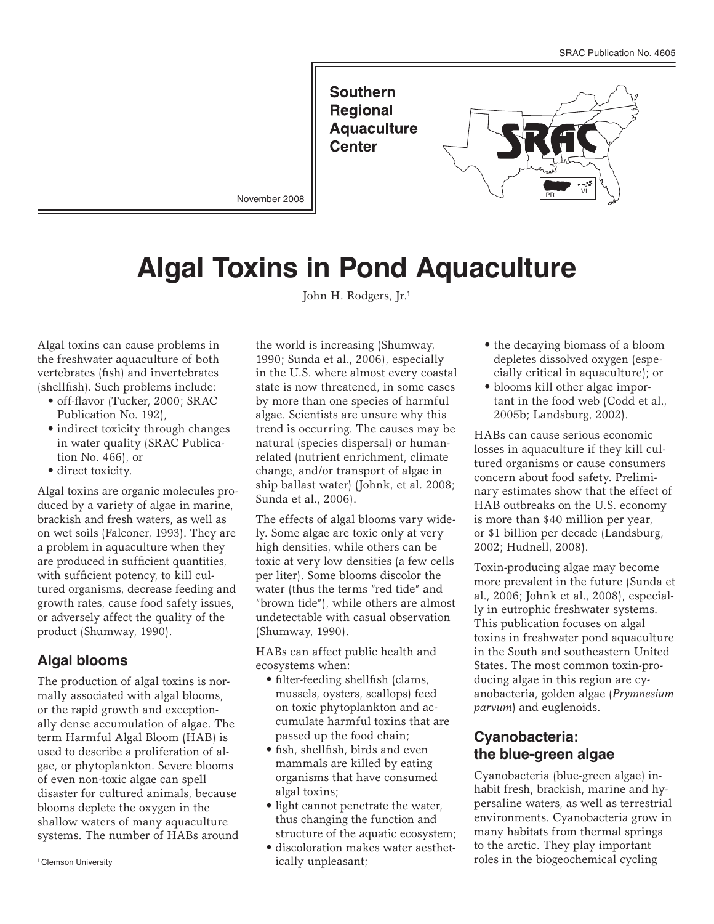**Southern Regional Aquaculture Center** 



November 2008

# **Algal Toxins in Pond Aquaculture**

John H. Rodgers, Jr.<sup>1</sup>

Algal toxins can cause problems in the freshwater aquaculture of both vertebrates (fish) and invertebrates (shellfish). Such problems include:

- • off-flavor (Tucker, 2000; SRAC Publication No. 192),
- indirect toxicity through changes in water quality (SRAC Publication No. 466), or
- direct toxicity.

Algal toxins are organic molecules produced by a variety of algae in marine, brackish and fresh waters, as well as on wet soils (Falconer, 1993). They are a problem in aquaculture when they are produced in sufficient quantities, with sufficient potency, to kill cultured organisms, decrease feeding and growth rates, cause food safety issues, or adversely affect the quality of the product (Shumway, 1990).

## **Algal blooms**

The production of algal toxins is normally associated with algal blooms, or the rapid growth and exceptionally dense accumulation of algae. The term Harmful Algal Bloom (HAB) is used to describe a proliferation of algae, or phytoplankton. Severe blooms of even non-toxic algae can spell disaster for cultured animals, because blooms deplete the oxygen in the shallow waters of many aquaculture systems. The number of HABs around

the world is increasing (Shumway, 1990; Sunda et al., 2006), especially in the U.S. where almost every coastal state is now threatened, in some cases by more than one species of harmful algae. Scientists are unsure why this trend is occurring. The causes may be natural (species dispersal) or humanrelated (nutrient enrichment, climate change, and/or transport of algae in ship ballast water) (Johnk, et al. 2008; Sunda et al., 2006).

The effects of algal blooms vary widely. Some algae are toxic only at very high densities, while others can be toxic at very low densities (a few cells per liter). Some blooms discolor the water (thus the terms "red tide" and "brown tide"), while others are almost undetectable with casual observation (Shumway, 1990).

HABs can affect public health and ecosystems when:

- filter-feeding shellfish (clams, mussels, oysters, scallops) feed on toxic phytoplankton and accumulate harmful toxins that are passed up the food chain;
- • fish, shellfish, birds and even mammals are killed by eating organisms that have consumed algal toxins;
- light cannot penetrate the water, thus changing the function and structure of the aquatic ecosystem;
- • discoloration makes water aesthetically unpleasant; The interval of the biogeochemical cycling in the biogeochemical cycling roles in the biogeochemical cycling
- the decaying biomass of a bloom depletes dissolved oxygen (especially critical in aquaculture); or
- blooms kill other algae important in the food web (Codd et al., 2005b; Landsburg, 2002).

HABs can cause serious economic losses in aquaculture if they kill cultured organisms or cause consumers concern about food safety. Preliminary estimates show that the effect of HAB outbreaks on the U.S. economy is more than \$40 million per year, or \$1 billion per decade (Landsburg, 2002; Hudnell, 2008).

Toxin-producing algae may become more prevalent in the future (Sunda et al., 2006; Johnk et al., 2008), especially in eutrophic freshwater systems. This publication focuses on algal toxins in freshwater pond aquaculture in the South and southeastern United States. The most common toxin-producing algae in this region are cyanobacteria, golden algae (*Prymnesium parvum*) and euglenoids.

# **Cyanobacteria: the blue-green algae**

Cyanobacteria (blue-green algae) inhabit fresh, brackish, marine and hypersaline waters, as well as terrestrial environments. Cyanobacteria grow in many habitats from thermal springs to the arctic. They play important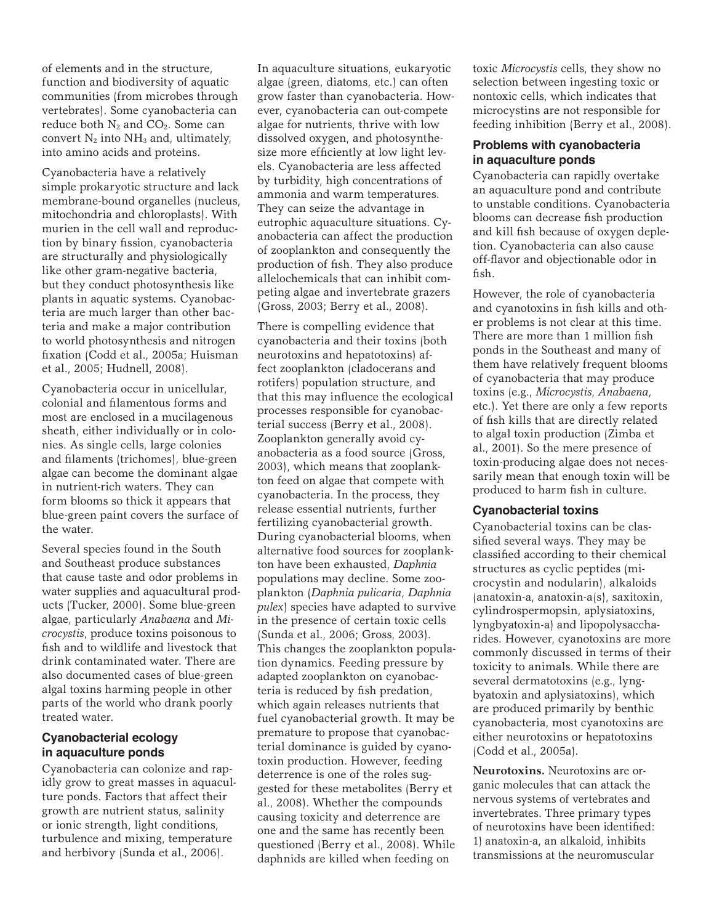of elements and in the structure, function and biodiversity of aquatic communities (from microbes through vertebrates). Some cyanobacteria can reduce both N<sub>2</sub> and CO<sub>2</sub>. Some can convert  $N_2$  into  $NH_3$  and, ultimately, into amino acids and proteins.

Cyanobacteria have a relatively simple prokaryotic structure and lack membrane-bound organelles (nucleus, mitochondria and chloroplasts). With murien in the cell wall and reproduction by binary fission, cyanobacteria are structurally and physiologically like other gram-negative bacteria, but they conduct photosynthesis like plants in aquatic systems. Cyanobacteria are much larger than other bacteria and make a major contribution to world photosynthesis and nitrogen fixation (Codd et al., 2005a; Huisman et al., 2005; Hudnell, 2008).

Cyanobacteria occur in unicellular, colonial and filamentous forms and most are enclosed in a mucilagenous sheath, either individually or in colonies. As single cells, large colonies and filaments (trichomes), blue-green algae can become the dominant algae in nutrient-rich waters. They can form blooms so thick it appears that blue-green paint covers the surface of the water.

Several species found in the South and Southeast produce substances that cause taste and odor problems in water supplies and aquacultural products (Tucker, 2000). Some blue-green algae, particularly *Anabaena* and *Microcystis*, produce toxins poisonous to fish and to wildlife and livestock that drink contaminated water. There are also documented cases of blue-green algal toxins harming people in other parts of the world who drank poorly treated water.

#### **Cyanobacterial ecology in aquaculture ponds**

Cyanobacteria can colonize and rapidly grow to great masses in aquaculture ponds. Factors that affect their growth are nutrient status, salinity or ionic strength, light conditions, turbulence and mixing, temperature and herbivory (Sunda et al., 2006).

In aquaculture situations, eukaryotic algae (green, diatoms, etc.) can often grow faster than cyanobacteria. However, cyanobacteria can out-compete algae for nutrients, thrive with low dissolved oxygen, and photosynthesize more efficiently at low light levels. Cyanobacteria are less affected by turbidity, high concentrations of ammonia and warm temperatures. They can seize the advantage in eutrophic aquaculture situations. Cyanobacteria can affect the production of zooplankton and consequently the production of fish. They also produce allelochemicals that can inhibit competing algae and invertebrate grazers (Gross, 2003; Berry et al., 2008).

There is compelling evidence that cyanobacteria and their toxins (both neurotoxins and hepatotoxins) affect zooplankton (cladocerans and rotifers) population structure, and that this may influence the ecological processes responsible for cyanobacterial success (Berry et al., 2008). Zooplankton generally avoid cyanobacteria as a food source (Gross, 2003), which means that zooplankton feed on algae that compete with cyanobacteria. In the process, they release essential nutrients, further fertilizing cyanobacterial growth. During cyanobacterial blooms, when alternative food sources for zooplankton have been exhausted, *Daphnia* populations may decline. Some zooplankton (*Daphnia pulicaria*, *Daphnia pulex*) species have adapted to survive in the presence of certain toxic cells (Sunda et al., 2006; Gross, 2003). This changes the zooplankton population dynamics. Feeding pressure by adapted zooplankton on cyanobacteria is reduced by fish predation, which again releases nutrients that fuel cyanobacterial growth. It may be premature to propose that cyanobacterial dominance is guided by cyanotoxin production. However, feeding deterrence is one of the roles suggested for these metabolites (Berry et al., 2008). Whether the compounds causing toxicity and deterrence are one and the same has recently been questioned (Berry et al., 2008). While daphnids are killed when feeding on

toxic *Microcystis* cells, they show no selection between ingesting toxic or nontoxic cells, which indicates that microcystins are not responsible for feeding inhibition (Berry et al., 2008).

#### **Problems with cyanobacteria in aquaculture ponds**

Cyanobacteria can rapidly overtake an aquaculture pond and contribute to unstable conditions. Cyanobacteria blooms can decrease fish production and kill fish because of oxygen depletion. Cyanobacteria can also cause off-flavor and objectionable odor in fish.

However, the role of cyanobacteria and cyanotoxins in fish kills and other problems is not clear at this time. There are more than 1 million fish ponds in the Southeast and many of them have relatively frequent blooms of cyanobacteria that may produce toxins (e.g., *Microcystis*, *Anabaena*, etc.). Yet there are only a few reports of fish kills that are directly related to algal toxin production (Zimba et al., 2001). So the mere presence of toxin-producing algae does not necessarily mean that enough toxin will be produced to harm fish in culture.

#### **Cyanobacterial toxins**

Cyanobacterial toxins can be classified several ways. They may be classified according to their chemical structures as cyclic peptides (microcystin and nodularin), alkaloids (anatoxin-a, anatoxin-a(s), saxitoxin, cylindrospermopsin, aplysiatoxins, lyngbyatoxin-a) and lipopolysaccharides. However, cyanotoxins are more commonly discussed in terms of their toxicity to animals. While there are several dermatotoxins (e.g., lyngbyatoxin and aplysiatoxins), which are produced primarily by benthic cyanobacteria, most cyanotoxins are either neurotoxins or hepatotoxins (Codd et al., 2005a).

**Neurotoxins.** Neurotoxins are organic molecules that can attack the nervous systems of vertebrates and invertebrates. Three primary types of neurotoxins have been identified: 1) anatoxin-a, an alkaloid, inhibits transmissions at the neuromuscular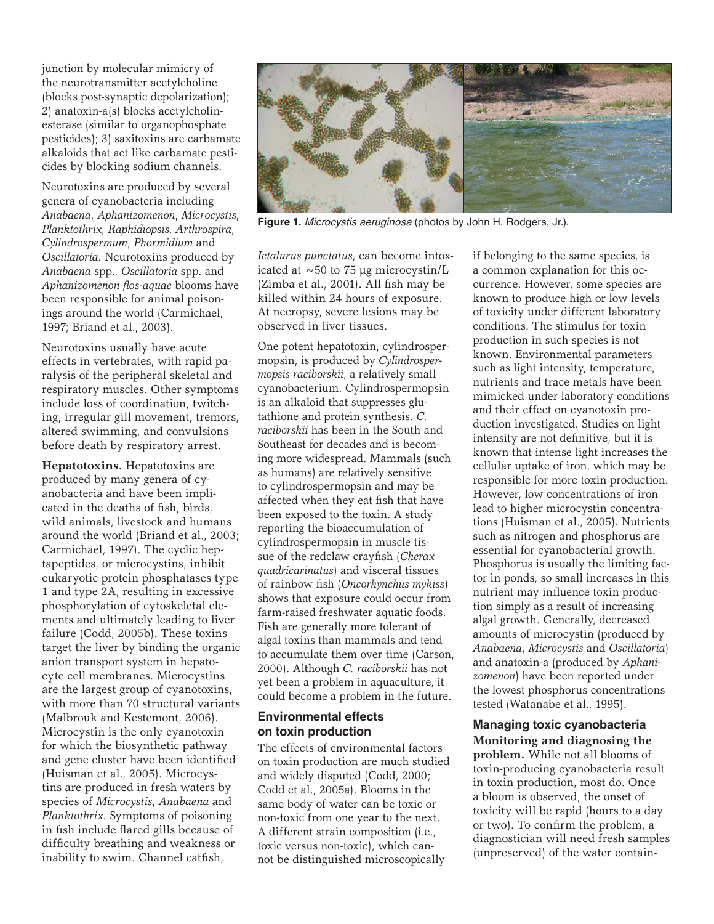junction by molecular mimicry of the neurotransmitter acetylcholine (blocks post-synaptic depolarization); 2) anatoxin-a(s) blocks acetylcholinesterase (similar to organophosphate pesticides); 3) saxitoxins are carbamate alkaloids that act like carbamate pesticides by blocking sodium channels.

Neurotoxins are produced by several genera of cyanobacteria including *Anabaena*, *Aphanizomenon*, *Microcystis*, *Planktothrix*, *Raphidiopsis*, *Arthrospira*, *Cylindrospermum*, *Phormidium* and *Oscillatoria*. Neurotoxins produced by *Anabaena* spp., *Oscillatoria* spp. and *Aphanizomenon flos-aquae* blooms have been responsible for animal poisonings around the world (Carmichael, 1997; Briand et al., 2003).

Neurotoxins usually have acute effects in vertebrates, with rapid paralysis of the peripheral skeletal and respiratory muscles. Other symptoms include loss of coordination, twitching, irregular gill movement, tremors, altered swimming, and convulsions before death by respiratory arrest.

**Hepatotoxins.** Hepatotoxins are produced by many genera of cyanobacteria and have been implicated in the deaths of fish, birds, wild animals, livestock and humans around the world (Briand et al., 2003; Carmichael, 1997). The cyclic heptapeptides, or microcystins, inhibit eukaryotic protein phosphatases type 1 and type 2A, resulting in excessive phosphorylation of cytoskeletal elements and ultimately leading to liver failure (Codd, 2005b). These toxins target the liver by binding the organic anion transport system in hepatocyte cell membranes. Microcystins are the largest group of cyanotoxins, with more than 70 structural variants (Malbrouk and Kestemont, 2006). Microcystin is the only cyanotoxin for which the biosynthetic pathway and gene cluster have been identified (Huisman et al., 2005). Microcystins are produced in fresh waters by species of *Microcystis*, *Anabaena* and *Planktothrix*. Symptoms of poisoning in fish include flared gills because of difficulty breathing and weakness or inability to swim. Channel catfish,



**Figure 1.** *Microcystis aeruginosa* (photos by John H. Rodgers, Jr.).

*Ictalurus punctatus*, can become intoxicated at  $\sim$  50 to 75 µg microcystin/L (Zimba et al., 2001). All fish may be killed within 24 hours of exposure. At necropsy, severe lesions may be observed in liver tissues.

One potent hepatotoxin, cylindrospermopsin, is produced by *Cylindrospermopsis raciborskii*, a relatively small cyanobacterium. Cylindrospermopsin is an alkaloid that suppresses glutathione and protein synthesis. *C. raciborskii* has been in the South and Southeast for decades and is becoming more widespread. Mammals (such as humans) are relatively sensitive to cylindrospermopsin and may be affected when they eat fish that have been exposed to the toxin. A study reporting the bioaccumulation of cylindrospermopsin in muscle tissue of the redclaw crayfish (*Cherax quadricarinatus*) and visceral tissues of rainbow fish (*Oncorhynchus mykiss*) shows that exposure could occur from farm-raised freshwater aquatic foods. Fish are generally more tolerant of algal toxins than mammals and tend to accumulate them over time (Carson, 2000). Although *C. raciborskii* has not yet been a problem in aquaculture, it could become a problem in the future.

#### **Environmental effects on toxin production**

The effects of environmental factors on toxin production are much studied and widely disputed (Codd, 2000; Codd et al., 2005a). Blooms in the same body of water can be toxic or non-toxic from one year to the next. A different strain composition (i.e., toxic versus non-toxic), which cannot be distinguished microscopically

if belonging to the same species, is a common explanation for this occurrence. However, some species are known to produce high or low levels of toxicity under different laboratory conditions. The stimulus for toxin production in such species is not known. Environmental parameters such as light intensity, temperature, nutrients and trace metals have been mimicked under laboratory conditions and their effect on cyanotoxin production investigated. Studies on light intensity are not definitive, but it is known that intense light increases the cellular uptake of iron, which may be responsible for more toxin production. However, low concentrations of iron lead to higher microcystin concentrations (Huisman et al., 2005). Nutrients such as nitrogen and phosphorus are essential for cyanobacterial growth. Phosphorus is usually the limiting factor in ponds, so small increases in this nutrient may influence toxin production simply as a result of increasing algal growth. Generally, decreased amounts of microcystin (produced by *Anabaena*, *Microcystis* and *Oscillatoria*) and anatoxin-a (produced by *Aphanizomenon*) have been reported under the lowest phosphorus concentrations tested (Watanabe et al., 1995).

**Managing toxic cyanobacteria Monitoring and diagnosing the problem.** While not all blooms of toxin-producing cyanobacteria result in toxin production, most do. Once a bloom is observed, the onset of toxicity will be rapid (hours to a day or two). To confirm the problem, a diagnostician will need fresh samples (unpreserved) of the water contain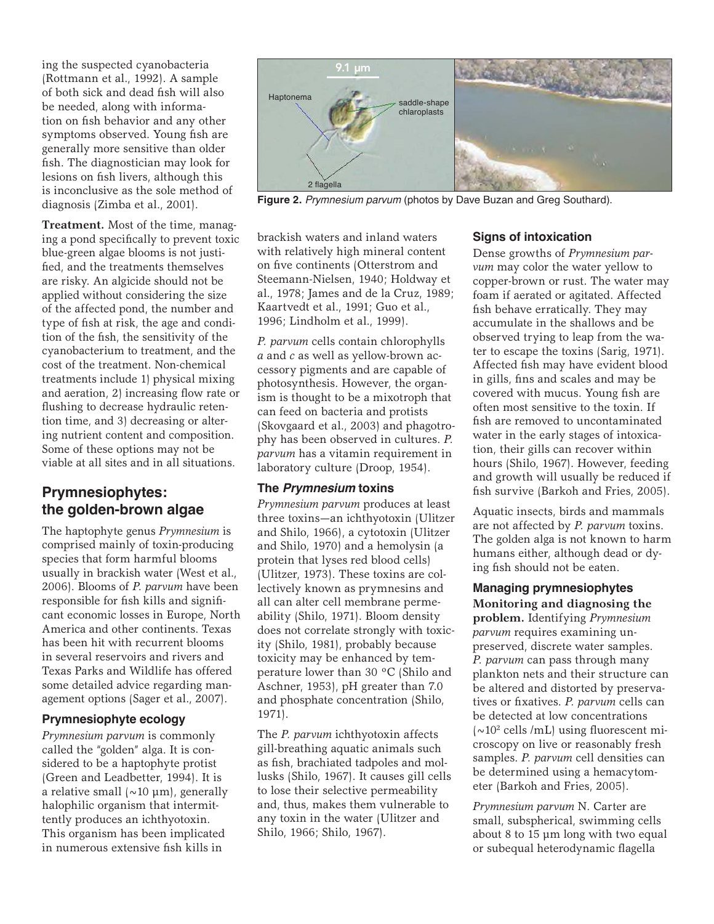ing the suspected cyanobacteria (Rottmann et al., 1992). A sample of both sick and dead fish will also be needed, along with information on fish behavior and any other symptoms observed. Young fish are generally more sensitive than older fish. The diagnostician may look for lesions on fish livers, although this is inconclusive as the sole method of diagnosis (Zimba et al., 2001).

**Treatment.** Most of the time, managing a pond specifically to prevent toxic blue-green algae blooms is not justified, and the treatments themselves are risky. An algicide should not be applied without considering the size of the affected pond, the number and type of fish at risk, the age and condition of the fish, the sensitivity of the cyanobacterium to treatment, and the cost of the treatment. Non-chemical treatments include 1) physical mixing and aeration, 2) increasing flow rate or flushing to decrease hydraulic retention time, and 3) decreasing or altering nutrient content and composition. Some of these options may not be viable at all sites and in all situations.

# **Prymnesiophytes: the golden-brown algae**

The haptophyte genus *Prymnesium* is comprised mainly of toxin-producing species that form harmful blooms usually in brackish water (West et al., 2006). Blooms of *P. parvum* have been responsible for fish kills and significant economic losses in Europe, North America and other continents. Texas has been hit with recurrent blooms in several reservoirs and rivers and Texas Parks and Wildlife has offered some detailed advice regarding management options (Sager et al., 2007).

#### **Prymnesiophyte ecology**

*Prymnesium parvum* is commonly called the "golden" alga. It is considered to be a haptophyte protist (Green and Leadbetter, 1994). It is a relative small  $(\sim 10 \mu m)$ , generally halophilic organism that intermittently produces an ichthyotoxin. This organism has been implicated in numerous extensive fish kills in



**Figure 2.** *Prymnesium parvum* (photos by Dave Buzan and Greg Southard).

brackish waters and inland waters with relatively high mineral content on five continents (Otterstrom and Steemann-Nielsen, 1940; Holdway et al., 1978; James and de la Cruz, 1989; Kaartvedt et al., 1991; Guo et al., 1996; Lindholm et al., 1999).

*P. parvum* cells contain chlorophylls *a* and *c* as well as yellow-brown accessory pigments and are capable of photosynthesis. However, the organism is thought to be a mixotroph that can feed on bacteria and protists (Skovgaard et al., 2003) and phagotrophy has been observed in cultures. *P. parvum* has a vitamin requirement in laboratory culture (Droop, 1954).

## **The** *Prymnesium* **toxins**

*Prymnesium parvum* produces at least three toxins—an ichthyotoxin (Ulitzer and Shilo, 1966), a cytotoxin (Ulitzer and Shilo, 1970) and a hemolysin (a protein that lyses red blood cells) (Ulitzer, 1973). These toxins are collectively known as prymnesins and all can alter cell membrane permeability (Shilo, 1971). Bloom density does not correlate strongly with toxicity (Shilo, 1981), probably because toxicity may be enhanced by temperature lower than 30 ºC (Shilo and Aschner, 1953), pH greater than 7.0 and phosphate concentration (Shilo, 1971).

The *P. parvum* ichthyotoxin affects gill-breathing aquatic animals such as fish, brachiated tadpoles and mollusks (Shilo, 1967). It causes gill cells to lose their selective permeability and, thus, makes them vulnerable to any toxin in the water (Ulitzer and Shilo, 1966; Shilo, 1967).

#### **Signs of intoxication**

Dense growths of *Prymnesium parvum* may color the water yellow to copper-brown or rust. The water may foam if aerated or agitated. Affected fish behave erratically. They may accumulate in the shallows and be observed trying to leap from the water to escape the toxins (Sarig, 1971). Affected fish may have evident blood in gills, fins and scales and may be covered with mucus. Young fish are often most sensitive to the toxin. If fish are removed to uncontaminated water in the early stages of intoxication, their gills can recover within hours (Shilo, 1967). However, feeding and growth will usually be reduced if fish survive (Barkoh and Fries, 2005).

Aquatic insects, birds and mammals are not affected by *P. parvum* toxins. The golden alga is not known to harm humans either, although dead or dying fish should not be eaten.

## **Managing prymnesiophytes**

**Monitoring and diagnosing the problem.** Identifying *Prymnesium parvum* requires examining unpreserved, discrete water samples. *P. parvum* can pass through many plankton nets and their structure can be altered and distorted by preservatives or fixatives. *P. parvum* cells can be detected at low concentrations  $\sim 10^2$  cells /mL) using fluorescent microscopy on live or reasonably fresh samples. *P. parvum* cell densities can be determined using a hemacytometer (Barkoh and Fries, 2005).

*Prymnesium parvum* N. Carter are small, subspherical, swimming cells about 8 to 15 µm long with two equal or subequal heterodynamic flagella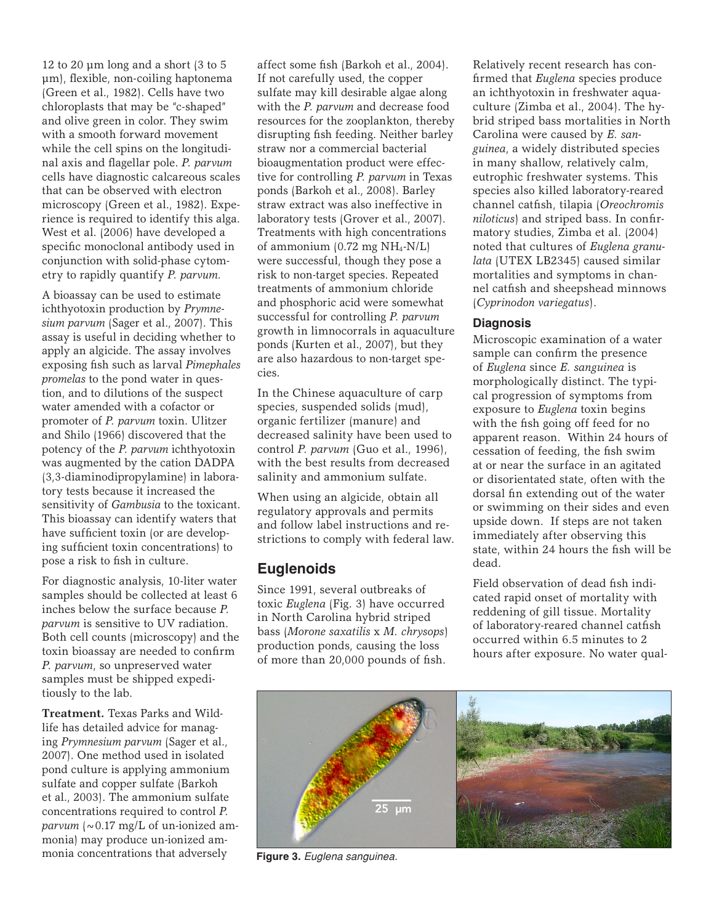12 to 20  $\mu$ m long and a short (3 to 5) µm), flexible, non-coiling haptonema (Green et al., 1982). Cells have two chloroplasts that may be "c-shaped" and olive green in color. They swim with a smooth forward movement while the cell spins on the longitudinal axis and flagellar pole. *P. parvum* cells have diagnostic calcareous scales that can be observed with electron microscopy (Green et al., 1982). Experience is required to identify this alga. West et al. (2006) have developed a specific monoclonal antibody used in conjunction with solid-phase cytometry to rapidly quantify *P. parvum.* 

A bioassay can be used to estimate ichthyotoxin production by *Prymnesium parvum* (Sager et al., 2007). This assay is useful in deciding whether to apply an algicide. The assay involves exposing fish such as larval *Pimephales promelas* to the pond water in question, and to dilutions of the suspect water amended with a cofactor or promoter of *P. parvum* toxin. Ulitzer and Shilo (1966) discovered that the potency of the *P. parvum* ichthyotoxin was augmented by the cation DADPA (3,3-diaminodipropylamine) in laboratory tests because it increased the sensitivity of *Gambusia* to the toxicant. This bioassay can identify waters that have sufficient toxin (or are developing sufficient toxin concentrations) to pose a risk to fish in culture.

For diagnostic analysis, 10-liter water samples should be collected at least 6 inches below the surface because *P. parvum* is sensitive to UV radiation. Both cell counts (microscopy) and the toxin bioassay are needed to confirm *P. parvum*, so unpreserved water samples must be shipped expeditiously to the lab.

**Treatment.** Texas Parks and Wildlife has detailed advice for managing *Prymnesium parvum* (Sager et al., 2007). One method used in isolated pond culture is applying ammonium sulfate and copper sulfate (Barkoh et al., 2003). The ammonium sulfate concentrations required to control *P. parvum*  $\sim 0.17$  mg/L of un-ionized ammonia) may produce un-ionized ammonia concentrations that adversely

affect some fish (Barkoh et al., 2004). If not carefully used, the copper sulfate may kill desirable algae along with the *P. parvum* and decrease food resources for the zooplankton, thereby disrupting fish feeding. Neither barley straw nor a commercial bacterial bioaugmentation product were effective for controlling *P. parvum* in Texas ponds (Barkoh et al., 2008). Barley straw extract was also ineffective in laboratory tests (Grover et al., 2007). Treatments with high concentrations of ammonium (0.72 mg NH4-N/L) were successful, though they pose a risk to non-target species. Repeated treatments of ammonium chloride and phosphoric acid were somewhat successful for controlling *P. parvum* growth in limnocorrals in aquaculture ponds (Kurten et al., 2007), but they are also hazardous to non-target species.

In the Chinese aquaculture of carp species, suspended solids (mud), organic fertilizer (manure) and decreased salinity have been used to control *P. parvum* (Guo et al., 1996), with the best results from decreased salinity and ammonium sulfate.

When using an algicide, obtain all regulatory approvals and permits and follow label instructions and restrictions to comply with federal law.

# **Euglenoids**

Since 1991, several outbreaks of toxic *Euglena* (Fig. 3) have occurred in North Carolina hybrid striped bass (*Morone saxatilis* x *M. chrysops*) production ponds, causing the loss of more than 20,000 pounds of fish.

Relatively recent research has confirmed that *Euglena* species produce an ichthyotoxin in freshwater aquaculture (Zimba et al., 2004). The hybrid striped bass mortalities in North Carolina were caused by *E. sanguinea*, a widely distributed species in many shallow, relatively calm, eutrophic freshwater systems. This species also killed laboratory-reared channel catfish, tilapia (*Oreochromis niloticus*) and striped bass. In confirmatory studies, Zimba et al. (2004) noted that cultures of *Euglena granulata* (UTEX LB2345) caused similar mortalities and symptoms in channel catfish and sheepshead minnows (*Cyprinodon variegatus*).

#### **Diagnosis**

Microscopic examination of a water sample can confirm the presence of *Euglena* since *E. sanguinea* is morphologically distinct. The typical progression of symptoms from exposure to *Euglena* toxin begins with the fish going off feed for no apparent reason. Within 24 hours of cessation of feeding, the fish swim at or near the surface in an agitated or disorientated state, often with the dorsal fin extending out of the water or swimming on their sides and even upside down. If steps are not taken immediately after observing this state, within 24 hours the fish will be dead.

Field observation of dead fish indicated rapid onset of mortality with reddening of gill tissue. Mortality of laboratory-reared channel catfish occurred within 6.5 minutes to 2 hours after exposure. No water qual-



**Figure 3.** *Euglena sanguinea.*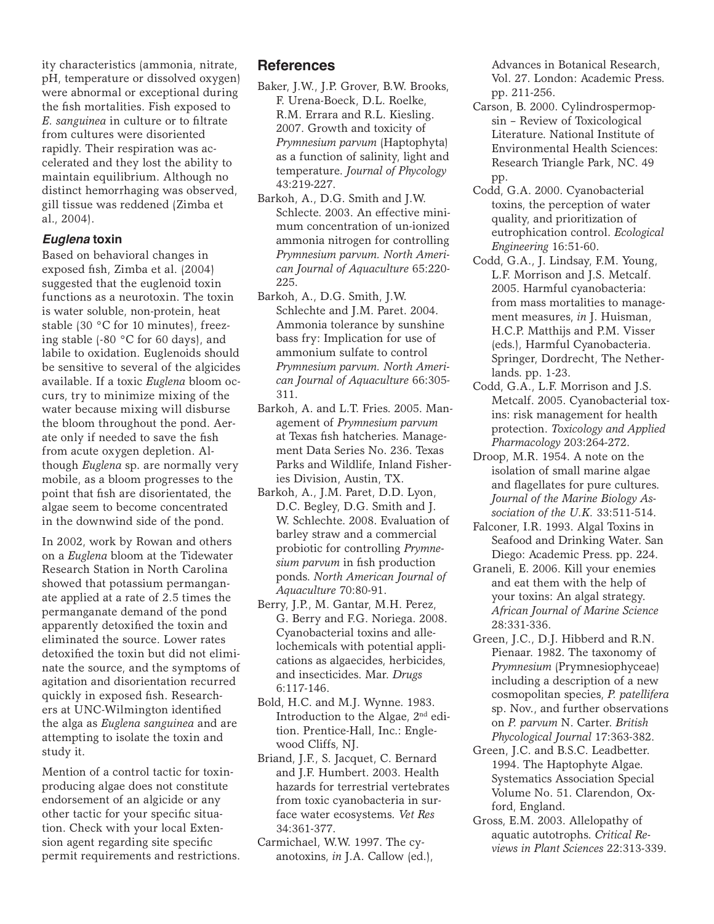ity characteristics (ammonia, nitrate, pH, temperature or dissolved oxygen) were abnormal or exceptional during the fish mortalities. Fish exposed to *E. sanguinea* in culture or to filtrate from cultures were disoriented rapidly. Their respiration was accelerated and they lost the ability to maintain equilibrium. Although no distinct hemorrhaging was observed, gill tissue was reddened (Zimba et al., 2004).

#### *Euglena* **toxin**

Based on behavioral changes in exposed fish, Zimba et al. (2004) suggested that the euglenoid toxin functions as a neurotoxin. The toxin is water soluble, non-protein, heat stable (30 °C for 10 minutes), freezing stable (-80 °C for 60 days), and labile to oxidation. Euglenoids should be sensitive to several of the algicides available. If a toxic *Euglena* bloom occurs, try to minimize mixing of the water because mixing will disburse the bloom throughout the pond. Aerate only if needed to save the fish from acute oxygen depletion. Although *Euglena* sp. are normally very mobile, as a bloom progresses to the point that fish are disorientated, the algae seem to become concentrated in the downwind side of the pond.

In 2002, work by Rowan and others on a *Euglena* bloom at the Tidewater Research Station in North Carolina showed that potassium permanganate applied at a rate of 2.5 times the permanganate demand of the pond apparently detoxified the toxin and eliminated the source. Lower rates detoxified the toxin but did not eliminate the source, and the symptoms of agitation and disorientation recurred quickly in exposed fish. Researchers at UNC-Wilmington identified the alga as *Euglena sanguinea* and are attempting to isolate the toxin and study it.

Mention of a control tactic for toxinproducing algae does not constitute endorsement of an algicide or any other tactic for your specific situation. Check with your local Extension agent regarding site specific permit requirements and restrictions.

# **References**

- Baker, J.W., J.P. Grover, B.W. Brooks, F. Urena-Boeck, D.L. Roelke, R.M. Errara and R.L. Kiesling. 2007. Growth and toxicity of *Prymnesium parvum* (Haptophyta) as a function of salinity, light and temperature. *Journal of Phycology* 43:219-227.
- Barkoh, A., D.G. Smith and J.W. Schlecte. 2003. An effective minimum concentration of un-ionized ammonia nitrogen for controlling *Prymnesium parvum. North American Journal of Aquaculture* 65:220- 225.
- Barkoh, A., D.G. Smith, J.W. Schlechte and J.M. Paret. 2004. Ammonia tolerance by sunshine bass fry: Implication for use of ammonium sulfate to control *Prymnesium parvum. North American Journal of Aquaculture* 66:305- 311.
- Barkoh, A. and L.T. Fries. 2005. Management of *Prymnesium parvum* at Texas fish hatcheries. Management Data Series No. 236. Texas Parks and Wildlife, Inland Fisheries Division, Austin, TX.
- Barkoh, A., J.M. Paret, D.D. Lyon, D.C. Begley, D.G. Smith and J. W. Schlechte. 2008. Evaluation of barley straw and a commercial probiotic for controlling *Prymnesium parvum* in fish production ponds. *North American Journal of Aquaculture* 70:80-91.
- Berry, J.P., M. Gantar, M.H. Perez, G. Berry and F.G. Noriega. 2008. Cyanobacterial toxins and allelochemicals with potential applications as algaecides, herbicides, and insecticides. Mar. *Drugs* 6:117-146.
- Bold, H.C. and M.J. Wynne. 1983. Introduction to the Algae, 2nd edition. Prentice-Hall, Inc.: Englewood Cliffs, NJ.
- Briand, J.F., S. Jacquet, C. Bernard and J.F. Humbert. 2003. Health hazards for terrestrial vertebrates from toxic cyanobacteria in surface water ecosystems. *Vet Res* 34:361-377.
- Carmichael, W.W. 1997. The cyanotoxins, *in* J.A. Callow (ed.),

Advances in Botanical Research, Vol. 27. London: Academic Press. pp. 211-256.

- Carson, B. 2000. Cylindrospermopsin – Review of Toxicological Literature. National Institute of Environmental Health Sciences: Research Triangle Park, NC. 49 pp.
- Codd, G.A. 2000. Cyanobacterial toxins, the perception of water quality, and prioritization of eutrophication control. *Ecological Engineering* 16:51-60.
- Codd, G.A., J. Lindsay, F.M. Young, L.F. Morrison and J.S. Metcalf. 2005. Harmful cyanobacteria: from mass mortalities to management measures, *in* J. Huisman, H.C.P. Matthijs and P.M. Visser (eds.), Harmful Cyanobacteria. Springer, Dordrecht, The Netherlands. pp. 1-23.
- Codd, G.A., L.F. Morrison and J.S. Metcalf. 2005. Cyanobacterial toxins: risk management for health protection. *Toxicology and Applied Pharmacology* 203:264-272.
- Droop, M.R. 1954. A note on the isolation of small marine algae and flagellates for pure cultures. *Journal of the Marine Biology Association of the U.K.* 33:511-514.
- Falconer, I.R. 1993. Algal Toxins in Seafood and Drinking Water. San Diego: Academic Press. pp. 224.
- Graneli, E. 2006. Kill your enemies and eat them with the help of your toxins: An algal strategy. *African Journal of Marine Science* 28:331-336.
- Green, J.C., D.J. Hibberd and R.N. Pienaar. 1982. The taxonomy of *Prymnesium* (Prymnesiophyceae) including a description of a new cosmopolitan species, *P. patellifera* sp. Nov., and further observations on *P. parvum* N. Carter. *British Phycological Journal* 17:363-382.
- Green, J.C. and B.S.C. Leadbetter. 1994. The Haptophyte Algae. Systematics Association Special Volume No. 51. Clarendon, Oxford, England.
- Gross, E.M. 2003. Allelopathy of aquatic autotrophs. *Critical Reviews in Plant Sciences* 22:313-339.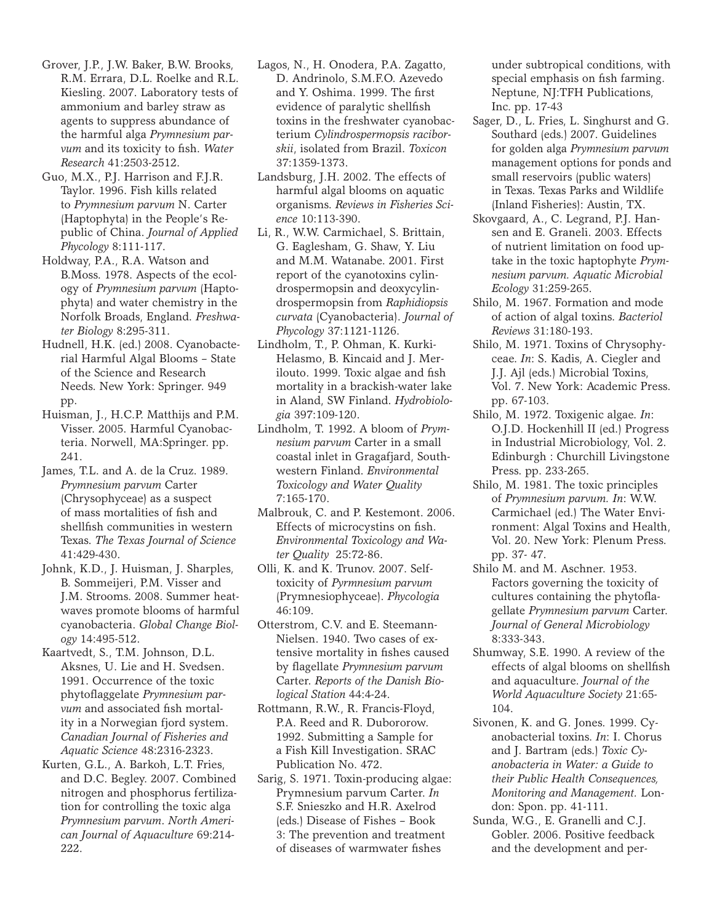- Grover, J.P., J.W. Baker, B.W. Brooks, R.M. Errara, D.L. Roelke and R.L. Kiesling. 2007. Laboratory tests of ammonium and barley straw as agents to suppress abundance of the harmful alga *Prymnesium parvum* and its toxicity to fish. *Water Research* 41:2503-2512.
- Guo, M.X., P.J. Harrison and F.J.R. Taylor. 1996. Fish kills related to *Prymnesium parvum* N. Carter (Haptophyta) in the People's Republic of China. *Journal of Applied Phycology* 8:111-117.
- Holdway, P.A., R.A. Watson and B.Moss. 1978. Aspects of the ecology of *Prymnesium parvum* (Haptophyta) and water chemistry in the Norfolk Broads, England. *Freshwater Biology* 8:295-311.
- Hudnell, H.K. (ed.) 2008. Cyanobacterial Harmful Algal Blooms – State of the Science and Research Needs. New York: Springer. 949 pp.
- Huisman, J., H.C.P. Matthijs and P.M. Visser. 2005. Harmful Cyanobacteria. Norwell, MA:Springer. pp. 241.
- James, T.L. and A. de la Cruz. 1989. *Prymnesium parvum* Carter (Chrysophyceae) as a suspect of mass mortalities of fish and shellfish communities in western Texas. *The Texas Journal of Science* 41:429-430.
- Johnk, K.D., J. Huisman, J. Sharples, B. Sommeijeri, P.M. Visser and J.M. Strooms. 2008. Summer heatwaves promote blooms of harmful cyanobacteria. *Global Change Biology* 14:495-512.
- Kaartvedt, S., T.M. Johnson, D.L. Aksnes, U. Lie and H. Svedsen. 1991. Occurrence of the toxic phytoflaggelate *Prymnesium parvum* and associated fish mortality in a Norwegian fjord system. *Canadian Journal of Fisheries and Aquatic Science* 48:2316-2323.
- Kurten, G.L., A. Barkoh, L.T. Fries, and D.C. Begley. 2007. Combined nitrogen and phosphorus fertilization for controlling the toxic alga *Prymnesium parvum*. *North American Journal of Aquaculture* 69:214- 222.
- Lagos, N., H. Onodera, P.A. Zagatto, D. Andrinolo, S.M.F.O. Azevedo and Y. Oshima. 1999. The first evidence of paralytic shellfish toxins in the freshwater cyanobacterium *Cylindrospermopsis raciborskii*, isolated from Brazil. *Toxicon* 37:1359-1373.
- Landsburg, J.H. 2002. The effects of harmful algal blooms on aquatic organisms. *Reviews in Fisheries Science* 10:113-390.
- Li, R., W.W. Carmichael, S. Brittain, G. Eaglesham, G. Shaw, Y. Liu and M.M. Watanabe. 2001. First report of the cyanotoxins cylindrospermopsin and deoxycylindrospermopsin from *Raphidiopsis curvata* (Cyanobacteria). *Journal of Phycology* 37:1121-1126.
- Lindholm, T., P. Ohman, K. Kurki-Helasmo, B. Kincaid and J. Merilouto. 1999. Toxic algae and fish mortality in a brackish-water lake in Aland, SW Finland. *Hydrobiologia* 397:109-120.
- Lindholm, T. 1992. A bloom of *Prymnesium parvum* Carter in a small coastal inlet in Gragafjard, Southwestern Finland. *Environmental Toxicology and Water Quality* 7:165-170.
- Malbrouk, C. and P. Kestemont. 2006. Effects of microcystins on fish. *Environmental Toxicology and Water Quality* 25:72-86.
- Olli, K. and K. Trunov. 2007. Selftoxicity of *Pyrmnesium parvum* (Prymnesiophyceae). *Phycologia*  46:109.
- Otterstrom, C.V. and E. Steemann-Nielsen. 1940. Two cases of extensive mortality in fishes caused by flagellate *Prymnesium parvum*  Carter. *Reports of the Danish Biological Station* 44:4-24.
- Rottmann, R.W., R. Francis-Floyd, P.A. Reed and R. Dubororow. 1992. Submitting a Sample for a Fish Kill Investigation. SRAC Publication No. 472.
- Sarig, S. 1971. Toxin-producing algae: Prymnesium parvum Carter. *In* S.F. Snieszko and H.R. Axelrod (eds.) Disease of Fishes – Book 3: The prevention and treatment of diseases of warmwater fishes

under subtropical conditions, with special emphasis on fish farming. Neptune, NJ:TFH Publications, Inc. pp. 17-43

- Sager, D., L. Fries, L. Singhurst and G. Southard (eds.) 2007. Guidelines for golden alga *Prymnesium parvum* management options for ponds and small reservoirs (public waters) in Texas. Texas Parks and Wildlife (Inland Fisheries): Austin, TX.
- Skovgaard, A., C. Legrand, P.J. Hansen and E. Graneli. 2003. Effects of nutrient limitation on food uptake in the toxic haptophyte *Prymnesium parvum. Aquatic Microbial Ecology* 31:259-265.
- Shilo, M. 1967. Formation and mode of action of algal toxins. *Bacteriol Reviews* 31:180-193.
- Shilo, M. 1971. Toxins of Chrysophyceae. *In*: S. Kadis, A. Ciegler and J.J. Ajl (eds.) Microbial Toxins, Vol. 7. New York: Academic Press. pp. 67-103.
- Shilo, M. 1972. Toxigenic algae. *In*: O.J.D. Hockenhill II (ed.) Progress in Industrial Microbiology, Vol. 2. Edinburgh : Churchill Livingstone Press. pp. 233-265.
- Shilo, M. 1981. The toxic principles of *Prymnesium parvum. In*: W.W. Carmichael (ed.) The Water Environment: Algal Toxins and Health, Vol. 20. New York: Plenum Press. pp. 37- 47.
- Shilo M. and M. Aschner. 1953. Factors governing the toxicity of cultures containing the phytoflagellate *Prymnesium parvum* Carter. *Journal of General Microbiology* 8:333-343.
- Shumway, S.E. 1990. A review of the effects of algal blooms on shellfish and aquaculture. *Journal of the World Aquaculture Society* 21:65- 104.
- Sivonen, K. and G. Jones. 1999. Cyanobacterial toxins. *In*: I. Chorus and J. Bartram (eds.) *Toxic Cyanobacteria in Water: a Guide to their Public Health Consequences, Monitoring and Management.* London: Spon. pp. 41-111.
- Sunda, W.G., E. Granelli and C.J. Gobler. 2006. Positive feedback and the development and per-